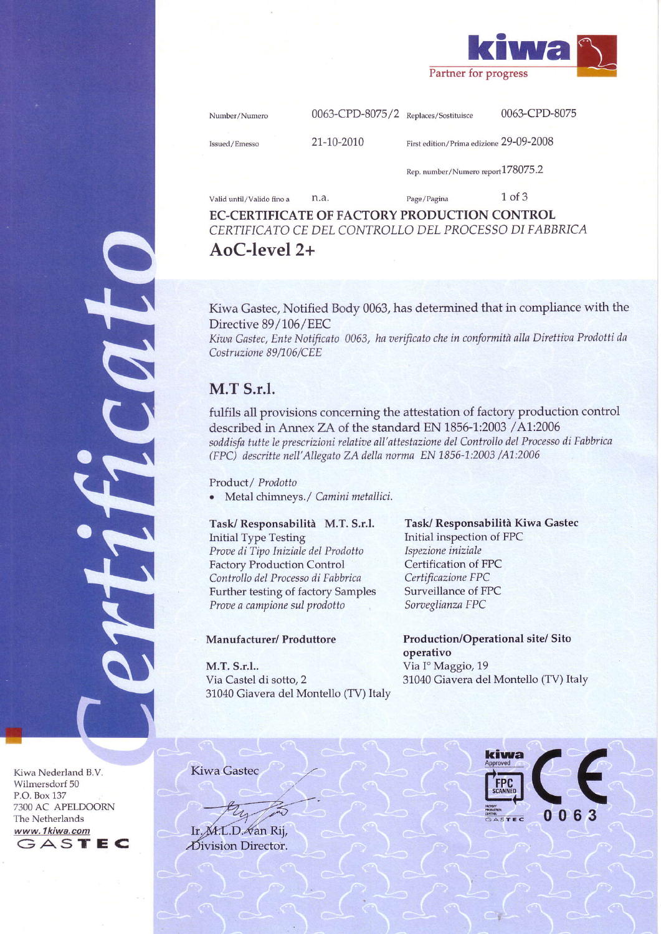

| Number/Numero |  |
|---------------|--|
|               |  |

0063-CPD-8075/2 Replaces/Sostituisce

0063-CPD-8075

Issued/Emesso

21-10-2010

 $n_a$ 

First edition/Prima edizione 29-09-2008

Rep. number/Numero report 178075.2

Valid until/Valido fino a

 $1$  of  $3$ Page/Pagina

EC-CERTIFICATE OF FACTORY PRODUCTION CONTROL CERTIFICATO CE DEL CONTROLLO DEL PROCESSO DI FABBRICA  $AoC-level 2+$ 

Kiwa Gastec, Notified Body 0063, has determined that in compliance with the Directive 89/106/EEC

Kiwa Gastec, Ente Notificato 0063, ha verificato che in conformità alla Direttiva Prodotti da Costruzione 89/106/CEE

# **M.T S.r.l.**

fulfils all provisions concerning the attestation of factory production control described in Annex ZA of the standard EN 1856-1:2003 /A1:2006 soddisfa tutte le prescrizioni relative all'attestazione del Controllo del Processo di Fabbrica (FPC) descritte nell'Allegato ZA della norma EN 1856-1:2003 /A1:2006

Product / Prodotto

Metal chimneys./ Camini metallici.  $\bullet$ 

## Task/Responsabilità M.T. S.r.l.

**Initial Type Testing** Prove di Tipo Iniziale del Prodotto **Factory Production Control** Controllo del Processo di Fabbrica Further testing of factory Samples Prove a campione sul prodotto

## Manufacturer/ Produttore

M.T. S.r.l.. Via Castel di sotto, 2 31040 Giavera del Montello (TV) Italy Task/ Responsabilità Kiwa Gastec Initial inspection of FPC Ispezione iniziale Certification of FPC Certificazione FPC Surveillance of FPC Sorveglianza FPC

**Production/Operational site/ Sito** operativo Via Iº Maggio, 19 31040 Giavera del Montello (TV) Italy

Kiwa Nederland B.V. Wilmersdorf 50 P.O. Box 137 7300 AC APELDOORN The Netherlands www.1kiwa.com GASTEC

Kiwa Gastec



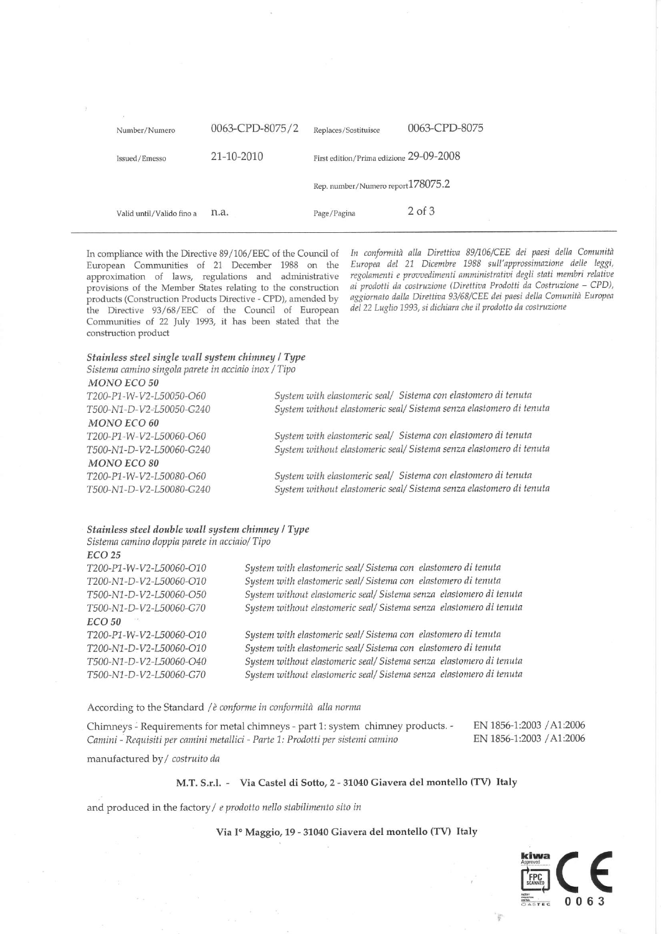| Number/Numero             | 0063-CPD-8075/2 | Replaces/Sostituisce                    | 0063-CPD-8075 |
|---------------------------|-----------------|-----------------------------------------|---------------|
| Issued/Emesso             | 21-10-2010      | First edition/Prima edizione 29-09-2008 |               |
|                           |                 | Rep. number/Numero report 178075.2      |               |
| Valid until/Valido fino a | n.a.            | Page/Pagina                             | $2$ of $3$    |

In compliance with the Directive 89/106/EEC of the Council of European Communities of 21 December 1988 on the approximation of laws, regulations and administrative provisions of the Member States relating to the construction products (Construction Products Directive - CPD), amended by the Directive 93/68/EEC of the Council of European Communities of 22 July 1993, it has been stated that the construction product

In conformità alla Direttiva 89/106/CEE dei paesi della Comunità Europea del 21 Dicembre 1988 sull'approssimazione delle leggi, regolamenti e provvedimenti amministrativi degli stati membri relative ai prodotti da costruzione (Direttiva Prodotti da Costruzione - CPD), aggiornato dalla Direttiva 93/68/CEE dei paesi della Comunità Europea del 22 Luglio 1993, si dichiara che il prodotto da costruzione

## Stainless steel single wall system chimney / Type

Sistema camino singola parete in acciaio inox / Tipo  $MONO$   $ECO$  50

| T200-P1-W-V2-L50050-O60  | System with elastomeric seal/ Sistema con elastomero di tenuta      |
|--------------------------|---------------------------------------------------------------------|
| T500-N1-D-V2-L50050-G240 | System without elastomeric seal/ Sistema senza elastomero di tenuta |
| <b>MONO ECO 60</b>       |                                                                     |
| T200-P1-W-V2-L50060-O60  | System with elastomeric seal/ Sistema con elastomero di tenuta      |
| T500-N1-D-V2-L50060-G240 | System without elastomeric seal/ Sistema senza elastomero di tenuta |
| <b>MONO ECO 80</b>       |                                                                     |
| T200-P1-W-V2-L50080-O60  | System with elastomeric seal/ Sistema con elastomero di tenuta      |
| T500-N1-D-V2-L50080-G240 | System without elastomeric seal/ Sistema senza elastomero di tenuta |
|                          |                                                                     |
|                          |                                                                     |

## Stainless steel double wall system chimney / Type

Sistema camino doppia parete in acciaio/Tipo

#### **ECO 25**

T200-P1-W-V2-L50060-O10 T200-N1-D-V2-L50060-O10 T500-N1-D-V2-L50060-O50 T500-N1-D-V2-L50060-G70 **ECO 50** T200-P1-W-V2-L50060-O10 T200-N1-D-V2-L50060-O10 T500-N1-D-V2-L50060-O40 T500-N1-D-V2-L50060-G70

System with elastomeric seal/ Sistema con elastomero di tenuta System with elastomeric seal/ Sistema con elastomero di tenuta System without elastomeric seal/ Sistema senza elastomero di tenuta System without elastomeric seal/ Sistema senza elastomero di tenuta

System with elastomeric seal/ Sistema con elastomero di tenuta System with elastomeric seal/ Sistema con elastomero di tenuta System without elastomeric seal/ Sistema senza elastomero di tenuta System without elastomeric seal/ Sistema senza elastomero di tenuta

#### According to the Standard / è conforme in conformità alla norma

Chimneys - Requirements for metal chimneys - part 1: system chimney products. -Camini - Requisiti per camini metallici - Parte 1: Prodotti per sistemi camino

EN 1856-1:2003 / A1:2006 EN 1856-1:2003 / A1:2006

manufactured by / costruito da

### M.T. S.r.l. - Via Castel di Sotto, 2 - 31040 Giavera del montello (TV) Italy

and produced in the factory / e prodotto nello stabilimento sito in

### Via Iº Maggio, 19 - 31040 Giavera del montello (TV) Italy